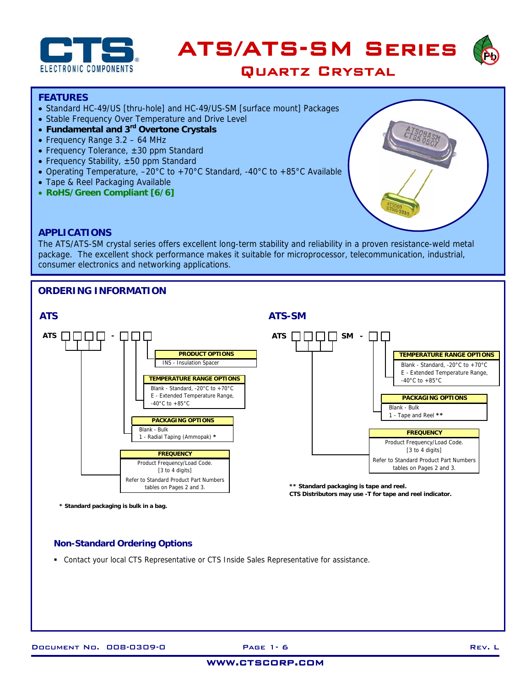





## **FEATURES**

- Standard HC-49/US [thru-hole] and HC-49/US-SM [surface mount] Packages
- Stable Frequency Over Temperature and Drive Level
- **Fundamental and 3rd Overtone Crystals**
- Frequency Range 3.2 64 MHz
- Frequency Tolerance, ±30 ppm Standard
- Frequency Stability, ±50 ppm Standard
- Operating Temperature, –20°C to +70°C Standard, -40°C to +85°C Available
- Tape & Reel Packaging Available
- **RoHS/Green Compliant [6/6]**



## **APPLICATIONS**

The ATS/ATS-SM crystal series offers excellent long-term stability and reliability in a proven resistance-weld metal package. The excellent shock performance makes it suitable for microprocessor, telecommunication, industrial, consumer electronics and networking applications.

# **ORDERING INFORMATION**



# **Non-Standard Ordering Options**

Contact your local CTS Representative or CTS Inside Sales Representative for assistance.

## www.ctscorp.com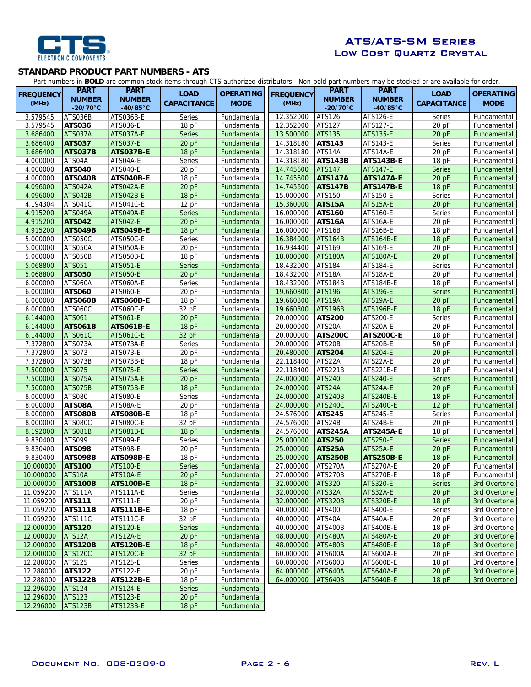

# ATS/ATS-SM Series Low Cost Quartz Crystal

#### **STANDARD PRODUCT PART NUMBERS - ATS**

Part numbers in **BOLD** are common stock items through CTS authorized distributors. Non-bold part numbers may be stocked or are available for order.

|                  |                          |                  |                    |                  |                  |                |                    | rarruumers in <b>DOLD</b> are common stock hems uirough CTJ authorized uistinuutors. Non-Dold part humbers may be stocked or are available for order. |                              |
|------------------|--------------------------|------------------|--------------------|------------------|------------------|----------------|--------------------|-------------------------------------------------------------------------------------------------------------------------------------------------------|------------------------------|
| <b>FREQUENCY</b> | <b>PART</b>              | <b>PART</b>      | <b>LOAD</b>        | <b>OPERATING</b> | <b>FREQUENCY</b> | <b>PART</b>    | <b>PART</b>        | <b>LOAD</b>                                                                                                                                           | <b>OPERATING</b>             |
| (MHz)            | <b>NUMBER</b>            | <b>NUMBER</b>    | <b>CAPACITANCE</b> | <b>MODE</b>      | (MHz)            | <b>NUMBER</b>  | <b>NUMBER</b>      | <b>CAPACITANCE</b>                                                                                                                                    | <b>MODE</b>                  |
|                  | $-20/70$ °C              | $-40/85$ °C      |                    |                  |                  | $-20/70$ °C    | $-40/85^{\circ}$ C |                                                                                                                                                       |                              |
| 3.579545         | ATS036B                  | ATS036B-E        | Series             | Fundamental      | 12.352000        | <b>ATS126</b>  | ATS126-E           | Series                                                                                                                                                | Fundamental                  |
| 3.579545         | <b>ATS036</b>            | ATS036-E         | 18 pF              | Fundamental      | 12.352000        | ATS127         | <b>ATS127-E</b>    | 20 pF                                                                                                                                                 | Fundamental                  |
| 3.686400         | ATS037A                  | ATS037A-E        | <b>Series</b>      | Fundamental      | 13.500000        | <b>ATS135</b>  | <b>ATS135-E</b>    | 20 pF                                                                                                                                                 | Fundamental                  |
| 3.686400         | <b>ATS037</b>            | <b>ATS037-E</b>  | 20 pF              | Fundamental      | 14.318180        | <b>ATS143</b>  | ATS143-E           | Series                                                                                                                                                | Fundamental                  |
| 3.686400         | ATS037B                  | ATS037B-E        | 18 pF              | Fundamental      | 14.318180        | ATS14A         | ATS14A-E           | 20 pF                                                                                                                                                 | Fundamental                  |
| 4.000000         | ATS04A                   | ATS04A-E         | Series             | Fundamental      | 14.318180        | <b>ATS143B</b> | <b>ATS143B-E</b>   | 18 pF                                                                                                                                                 | Fundamental                  |
| 4.000000         | <b>ATS040</b>            | <b>ATS040-E</b>  | 20 pF              | Fundamental      | 14.745600        | <b>ATS147</b>  | <b>ATS147-E</b>    | <b>Series</b>                                                                                                                                         | Fundamental                  |
| 4.000000         | ATS040B                  | ATS040B-E        | 18 pF              | Fundamental      | 14.745600        | <b>ATS147A</b> | <b>ATS147A-E</b>   | 20 pF                                                                                                                                                 | Fundamental                  |
| 4.096000         | ATS042A                  | ATS042A-E        | 20 pF              | Fundamental      | 14.745600        | <b>ATS147B</b> | <b>ATS147B-E</b>   | 18pF                                                                                                                                                  | Fundamental                  |
| 4.096000         | ATS042B                  | <b>ATS042B-E</b> | 18pF               | Fundamental      | 15.000000        | ATS150         | ATS150-E           | Series                                                                                                                                                | Fundamental                  |
| 4.194304         | ATS041C                  | ATS041C-E        | 12 pF              | Fundamental      | 15.360000        | ATS15A         | ATS15A-E           | 20 pF                                                                                                                                                 | Fundamental                  |
| 4.915200         | ATS049A                  | ATS049A-E        | Series             | Fundamental      | 16.000000        | <b>ATS160</b>  | ATS160-E           | Series                                                                                                                                                | Fundamental                  |
| 4.915200         | <b>ATS042</b>            | <b>ATS042-E</b>  | 20 pF              | Fundamental      | 16.000000        | ATS16A         | ATS16A-E           | 20 pF                                                                                                                                                 | Fundamental                  |
| 4.915200         | <b>ATS049B</b>           | ATS049B-E        | 18pF               | Fundamental      | 16.000000        | ATS16B         | ATS16B-E           | 18 pF                                                                                                                                                 | Fundamental                  |
|                  |                          |                  | Series             |                  |                  |                |                    | 18pF                                                                                                                                                  |                              |
| 5.000000         | ATS050C                  | ATS050C-E        |                    | Fundamental      | 16.384000        | <b>ATS164B</b> | <b>ATS164B-E</b>   |                                                                                                                                                       | Fundamental                  |
| 5.000000         | ATS050A                  | ATS050A-E        | 20 pF              | Fundamental      | 16.934400        | ATS169         | ATS169-E           | 20 pF                                                                                                                                                 | Fundamental                  |
| 5.000000         | ATS050B                  | ATS050B-E        | 18 pF              | Fundamental      | 18.000000        | ATS180A        | ATS180A-E          | 20 pF                                                                                                                                                 | Fundamental                  |
| 5.068800         | <b>ATS051</b>            | <b>ATS051-E</b>  | Series             | Fundamental      | 18.432000        | ATS184         | ATS184-E           | Series                                                                                                                                                | Fundamental                  |
| 5.068800         | <b>ATS050</b>            | <b>ATS050-E</b>  | 20 pF              | Fundamental      | 18.432000        | ATS18A         | ATS18A-E           | 20 pF                                                                                                                                                 | Fundamental                  |
| 6.000000         | ATS060A                  | ATS060A-E        | Series             | Fundamental      | 18.432000        | ATS184B        | ATS184B-E          | 18 pF                                                                                                                                                 | Fundamental                  |
| 6.000000         | <b>ATS060</b>            | ATS060-E         | 20 pF              | Fundamental      | 19.660800        | <b>ATS196</b>  | <b>ATS196-E</b>    | <b>Series</b>                                                                                                                                         | Fundamental                  |
| 6.000000         | ATS060B                  | <b>ATS060B-E</b> | 18pF               | Fundamental      | 19.660800        | ATS19A         | ATS19A-E           | 20 pF                                                                                                                                                 | Fundamental                  |
| 6.000000         | ATS060C                  | ATS060C-E        | 32 pF              | Fundamental      | 19.660800        | <b>ATS196B</b> | <b>ATS196B-E</b>   | 18pF                                                                                                                                                  | Fundamental                  |
| 6.144000         | <b>ATS061</b>            | <b>ATS061-E</b>  | 20 pF              | Fundamental      | 20.000000        | <b>ATS200</b>  | ATS200-E           | Series                                                                                                                                                | Fundamental                  |
| 6.144000         | <b>ATS061B</b>           | <b>ATS061B-E</b> | 18 pF              | Fundamental      | 20.000000        | ATS20A         | ATS20A-E           | 20 pF                                                                                                                                                 | Fundamental                  |
| 6.144000         | <b>ATS061C</b>           | <b>ATS061C-E</b> | 32 pF              | Fundamental      | 20.000000        | <b>ATS200C</b> | <b>ATS200C-E</b>   | 18 pF                                                                                                                                                 | Fundamental                  |
| 7.372800         | ATS073A                  | ATS073A-E        | Series             | Fundamental      | 20.000000        | ATS20B         | ATS20B-E           | 50 pF                                                                                                                                                 | Fundamental                  |
| 7.372800         | ATS073                   | ATS073-E         | 20 pF              | Fundamental      | 20.480000        | <b>ATS204</b>  | <b>ATS204-E</b>    | 20 pF                                                                                                                                                 | Fundamental                  |
| 7.372800         | ATS073B                  | ATS073B-E        | 18 pF              | Fundamental      | 22.118400        | ATS22A         | ATS22A-E           | 20 pF                                                                                                                                                 | Fundamental                  |
| 7.500000         | <b>ATS075</b>            | <b>ATS075-E</b>  | <b>Series</b>      | Fundamental      | 22.118400        | <b>ATS221B</b> | ATS221B-E          | 18pF                                                                                                                                                  | Fundamental                  |
| 7.500000         | ATS075A                  | ATS075A-E        | 20 pF              | Fundamental      | 24.000000        | <b>ATS240</b>  | <b>ATS240-E</b>    | Series                                                                                                                                                | Fundamental                  |
| 7.500000         | <b>ATS075B</b>           | <b>ATS075B-E</b> | 18 pF              | Fundamental      | 24.000000        | ATS24A         | ATS24A-E           | 20 pF                                                                                                                                                 | Fundamental                  |
| 8.000000         | ATS080                   | <b>ATS080-E</b>  | Series             | Fundamental      | 24.000000        | <b>ATS240B</b> | ATS240B-E          | 18 pF                                                                                                                                                 | Fundamental                  |
| 8.000000         | ATS08A                   | ATS08A-E         | 20 pF              | Fundamental      | 24.000000        | <b>ATS240C</b> | <b>ATS240C-E</b>   | 12pF                                                                                                                                                  | Fundamental                  |
| 8.000000         | <b>ATS080B</b>           | <b>ATS080B-E</b> | 18 pF              | Fundamental      | 24.576000        | <b>ATS245</b>  | ATS245-E           | Series                                                                                                                                                | Fundamental                  |
| 8.000000         | ATS080C                  | ATS080C-E        | 32 pF              | Fundamental      | 24.576000        | ATS24B         | ATS24B-E           | 20 pF                                                                                                                                                 | Fundamental                  |
| 8.192000         | ATS081B                  | ATS081B-E        | 18pF               | Fundamental      | 24.576000        | <b>ATS245A</b> | <b>ATS245A-E</b>   | 18 pF                                                                                                                                                 | Fundamental                  |
| 9.830400         | ATS099                   | <b>ATS099-E</b>  | Series             | Fundamental      | 25.000000        | <b>ATS250</b>  | <b>ATS250-E</b>    | Series                                                                                                                                                | Fundamental                  |
| 9.830400         | <b>ATS098</b>            | ATS098-E         | 20 pF              | Fundamental      | 25.000000        | ATS25A         | ATS25A-E           | 20 pF                                                                                                                                                 | Fundamental                  |
| 9.830400         | <b>ATS098B</b>           | <b>ATS098B-E</b> | 18 pF              | Fundamental      | 25.000000        | <b>ATS250B</b> | <b>ATS250B-E</b>   | 18 pF                                                                                                                                                 | Fundamental                  |
| 10.000000        | <b>ATS100</b>            | <b>ATS100-E</b>  | Series             | Fundamental      | 27.000000        | ATS270A        | ATS270A-E          | 20 pF                                                                                                                                                 | Fundamental                  |
| 10.000000        | ATS10A                   | ATS10A-E         | $20$ pF            | Fundamental      | 27.000000        | ATS270B        | ATS270B-E          | 18 pF                                                                                                                                                 | Fundamental                  |
| 10.000000        | <b>ATS100B</b>           | <b>ATS100B-E</b> | 18pF               | Fundamental      | 32.000000        | <b>ATS320</b>  | <b>ATS320-E</b>    | <b>Series</b>                                                                                                                                         | 3rd Overtone                 |
| 11.059200        | <b>ATS111A</b>           | ATS111A-E        | Series             | Fundamental      | 32.000000        | ATS32A         | ATS32A-E           | 20 pF                                                                                                                                                 | 3rd Overtone                 |
| 11.059200        | <b>ATS111</b>            | ATS111-E         | 20pF               | Fundamental      | 32.000000        | <b>ATS320B</b> | <b>ATS320B-E</b>   | 18pF                                                                                                                                                  | 3rd Overtone                 |
| 11.059200        | <b>ATS111B</b>           | <b>ATS111B-E</b> | 18pF               | Fundamental      | 40.000000        | ATS400         | ATS400-E           | Series                                                                                                                                                | 3rd Overtone                 |
| 11.059200        | <b>ATS111C</b>           | <b>ATS111C-E</b> | 32 pF              | Fundamental      | 40.000000        | ATS40A         | ATS40A-E           | 20 pF                                                                                                                                                 | 3rd Overtone                 |
| 12.000000        | <b>ATS120</b>            | <b>ATS120-E</b>  | <b>Series</b>      | Fundamental      | 40.000000        | ATS400B        | ATS400B-E          | 18 pF                                                                                                                                                 |                              |
| 12.000000        |                          | ATS12A-E         | 20 pF              | Fundamental      | 48.000000        | <b>ATS480A</b> | ATS480A-E          |                                                                                                                                                       | 3rd Overtone<br>3rd Overtone |
| 12.000000        | ATS12A<br><b>ATS120B</b> | <b>ATS120B-E</b> | 18 pF              | Fundamental      | 48.000000        |                | ATS480B-E          | 20 pF<br>18pF                                                                                                                                         | 3rd Overtone                 |
|                  |                          |                  |                    |                  | 60.000000        | <b>ATS480B</b> |                    | 20 pF                                                                                                                                                 |                              |
| 12.000000        | <b>ATS120C</b>           | <b>ATS120C-E</b> | 32 pF              | Fundamental      | 60.000000        | <b>ATS600A</b> | ATS600A-E          |                                                                                                                                                       | 3rd Overtone                 |
| 12.288000        | ATS125                   | ATS125-E         | Series             | Fundamental      |                  | <b>ATS600B</b> | ATS600B-E          | 18 pF                                                                                                                                                 | 3rd Overtone                 |
| 12.288000        | <b>ATS122</b>            | ATS122-E         | 20 pF              | Fundamental      | 64.000000        | <b>ATS640A</b> | ATS640A-E          | 20 pF                                                                                                                                                 | 3rd Overtone                 |
| 12.288000        | ATS122B                  | <b>ATS122B-E</b> | 18 pF              | Fundamental      | 64.000000        | ATS640B        | ATS640B-E          | 18pF                                                                                                                                                  | 3rd Overtone                 |
| 12.296000        | <b>ATS124</b>            | <b>ATS124-E</b>  | <b>Series</b>      | Fundamental      |                  |                |                    |                                                                                                                                                       |                              |
| 12.296000        | <b>ATS123</b>            | <b>ATS123-E</b>  | 20 pF              | Fundamental      |                  |                |                    |                                                                                                                                                       |                              |
| 12.296000        | <b>ATS123B</b>           | <b>ATS123B-E</b> | 18 pF              | Fundamental      |                  |                |                    |                                                                                                                                                       |                              |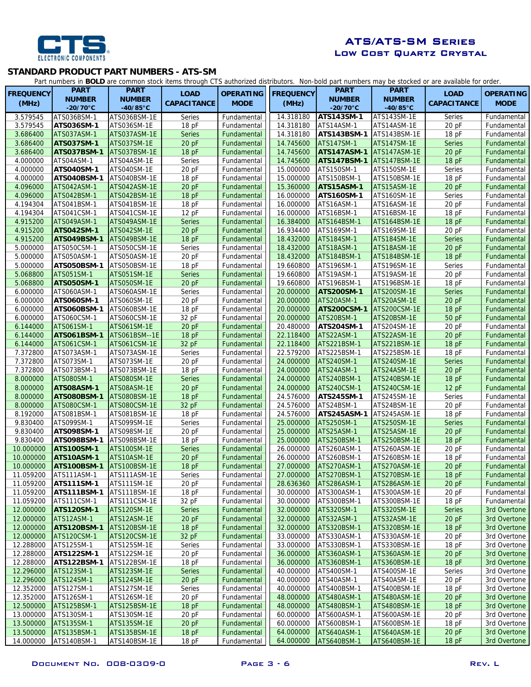

# ATS/ATS-SM Series Low Cost Quartz Crystal

## **STANDARD PRODUCT PART NUMBERS - ATS-SM**

Part numbers in **BOLD** are common stock items through CTS authorized distributors. Non-bold part numbers may be stocked or are available for order.

| <b>FREQUENCY</b>       | <b>PART</b>                      | <b>PART</b>                 | <b>LOAD</b>        | <b>OPERATING</b>           | <b>FREQUENCY</b>       | <b>PART</b>                | <b>PART</b>                  | <b>LOAD</b>        | <b>OPERATING</b>             |
|------------------------|----------------------------------|-----------------------------|--------------------|----------------------------|------------------------|----------------------------|------------------------------|--------------------|------------------------------|
| (MHz)                  | <b>NUMBER</b>                    | <b>NUMBER</b>               | <b>CAPACITANCE</b> | <b>MODE</b>                | (MHz)                  | <b>NUMBER</b>              | <b>NUMBER</b>                | <b>CAPACITANCE</b> | <b>MODE</b>                  |
|                        | $-20/70^{\circ}$ C               | $-40/85$ °C                 |                    |                            |                        | $-20/70$ °C                | $-40/85^{\circ}$ C           |                    |                              |
| 3.579545               | ATS036BSM-1                      | ATS036BSM-1E                | Series             | Fundamental                | 14.318180              | <b>ATS143SM-1</b>          | ATS143SM-1E                  | Series             | Fundamental                  |
| 3.579545               | ATS036SM-1                       | ATS036SM-1E                 | 18pF               | Fundamental                | 14.318180              | ATS14ASM-1                 | ATS14ASM-1E                  | $20$ pF            | Fundamental                  |
| 3.686400               | ATS037ASM-1                      | ATS037ASM-1E                | <b>Series</b>      | Fundamental                | 14.318180              | ATS143BSM-1                | ATS143BSM-1E                 | 18pF               | Fundamental                  |
| 3.686400               | <b>ATS037SM-1</b>                | ATS037SM-1E                 | 20 pF              | Fundamental                | 14.745600              | ATS147SM-1                 | <b>ATS147SM-1E</b>           | <b>Series</b>      | Fundamental                  |
| 3.686400               | <b>ATS037BSM-1</b>               | ATS037BSM-1E                | 18pF               | Fundamental                | 14.745600              | <b>ATS147ASM-1</b>         | ATS147ASM-1E                 | 20 pF              | Fundamental                  |
| 4.000000               | ATS04ASM-1                       | ATS04ASM-1E                 | Series             | Fundamental                | 14.745600              | <b>ATS147BSM-1</b>         | ATS147BSM-1E                 | 18pF               | Fundamental                  |
| 4.000000               | ATS040SM-1                       | ATS040SM-1E                 | 20 pF              | Fundamental                | 15.000000              | ATS150SM-1                 | ATS150SM-1E                  | Series             | Fundamental                  |
| 4.000000               | ATS040BSM-1                      | ATS040BSM-1E                | 18pF               | Fundamental                | 15.000000              | ATS150BSM-1                | ATS150BSM-1E                 | 18 pF              | Fundamental                  |
| 4.096000               | ATS042ASM-1                      | ATS042ASM-1E                | 20 pF              | Fundamental                | 15.360000              | ATS15ASM-1                 | ATS15ASM-1E                  | $20$ pF            | Fundamental                  |
| 4.096000               | ATS042BSM-1                      | ATS042BSM-1E                | 18pF               | Fundamental                | 16.000000              | ATS160SM-1                 | ATS160SM-1E                  | Series             | Fundamental                  |
| 4.194304               | ATS041BSM-1                      | ATS041BSM-1E                | 18pF               | Fundamental                | 16.000000              | ATS16ASM-1                 | ATS16ASM-1E                  | 20 pF              | Fundamental                  |
| 4.194304               | ATS041CSM-1                      | ATS041CSM-1E                | 12pF               | Fundamental                | 16.000000              | ATS16BSM-1                 | ATS16BSM-1E                  | 18pF               | Fundamental                  |
| 4.915200               | ATS049ASM-1                      | ATS049ASM-1E                | <b>Series</b>      | Fundamental                | 16.384000              | ATS164BSM-1                | ATS164BSM-1E                 | 18pF               | Fundamental                  |
| 4.915200               | <b>ATS042SM-1</b>                | ATS042SM-1E                 | 20 pF              | Fundamental                | 16.934400              | ATS169SM-1                 | ATS169SM-1E                  | 20 pF              | Fundamental                  |
| 4.915200               | ATS049BSM-1                      | ATS049BSM-1E                | 18pF               | Fundamental                | 18.432000              | ATS184SM-1                 | <b>ATS184SM-1E</b>           | <b>Series</b>      | Fundamental                  |
| 5.000000               | ATS050CSM-1                      | ATS050CSM-1E                | Series             | Fundamental                | 18.432000              | ATS18ASM-1                 | ATS18ASM-1E                  | 20 pF              | Fundamental                  |
| 5.000000               | ATS050ASM-1                      | ATS050ASM-1E                | 20pF               | Fundamental                | 18.432000              | ATS184BSM-1                | ATS184BSM-1E                 | 18 pF              | Fundamental                  |
| 5.000000               | ATS050BSM-1                      | ATS050BSM-1E                | 18pF               | Fundamental                | 19.660800              | ATS196SM-1                 | ATS196SM-1E                  | Series             | Fundamental                  |
| 5.068800               | ATS051SM-1                       | ATS051SM-1E                 | <b>Series</b>      | Fundamental                | 19.660800              | ATS19ASM-1                 | ATS19ASM-1E                  | 20pF               | Fundamental                  |
| 5.068800               | <b>ATS050SM-1</b>                | ATS050SM-1E                 | 20 pF              | Fundamental                | 19.660800              | ATS196BSM-1                | ATS196BSM-1E                 | 18pF               | Fundamental                  |
| 6.000000               | ATS060ASM-1                      | ATS060ASM-1E                | Series             | Fundamental                | 20.000000              | ATS200SM-1                 | ATS200SM-1E                  | <b>Series</b>      | Fundamental                  |
| 6.000000               | ATS060SM-1                       | ATS060SM-1E                 | 20 pF              | Fundamental                | 20.000000              | ATS20ASM-1                 | ATS20ASM-1E                  | 20 pF              | Fundamental                  |
| 6.000000               | ATS060BSM-1                      | ATS060BSM-1E                | 18 pF              | Fundamental                | 20.000000              | <b>ATS200CSM-1</b>         | ATS200CSM-1E                 | 18 pF              | Fundamental                  |
| 6.000000               | ATS060CSM-1                      | ATS060CSM-1E                | 32 pF              | Fundamental                | 20.000000              | ATS20BSM-1                 | ATS20BSM-1E                  | 50 pF              | Fundamental                  |
| 6.144000               | ATS061SM-1                       | ATS061SM-1E                 | 20pF               | Fundamental                | 20.480000              | ATS204SM-1                 | ATS204SM-1E                  | $20$ pF            | Fundamental                  |
| 6.144000               | ATS061BSM-1                      | ATS061BSM--1E               | 18pF               | Fundamental                | 22.118400              | ATS22ASM-1                 | ATS22ASM-1E                  | 20 pF              | Fundamental                  |
| 6.144000               | ATS061CSM-1                      | ATS061CSM-1E                | 32 pF              | Fundamental                | 22.118400              | ATS221BSM-1                | ATS221BSM-1E                 | 18pF               | Fundamental                  |
| 7.372800               | ATS073ASM-1                      | ATS073ASM-1E                | Series             | Fundamental                | 22.579200              | ATS225BSM-1                | ATS225BSM-1E                 | 18pF               | Fundamental                  |
| 7.372800               | ATS073SM-1                       | ATS073SM-1E                 | 20 pF              | Fundamental                | 24.000000              | ATS240SM-1                 | ATS240SM-1E                  | <b>Series</b>      | Fundamental                  |
| 7.372800               | ATS073BSM-1                      | ATS073BSM-1E                | 18pF               | Fundamental                | 24.000000              | ATS24ASM-1                 | ATS24ASM-1E                  | 20 pF              | Fundamental                  |
| 8.000000               | ATS080SM-1                       | ATS080SM-1E                 | <b>Series</b>      | Fundamental                | 24.000000              | ATS240BSM-1                | ATS240BSM-1E                 | 18pF               | Fundamental                  |
| 8.000000               | ATS08ASM-1                       | ATS08ASM-1E                 | 20pF               | Fundamental                | 24.000000              | ATS240CSM-1                | ATS240CSM-1E                 | 12 pF              | Fundamental                  |
| 8.000000               | ATS080BSM-1                      | ATS080BSM-1E                | 18pF               | Fundamental                | 24.576000              | ATS245SM-1                 | ATS245SM-1E                  | Series             | Fundamental                  |
| 8.000000               | ATS080CSM-1                      | ATS080CSM-1E                | 32 pF              | Fundamental                | 24.576000              | ATS24BSM-1                 | ATS24BSM-1E                  | $20$ pF            | Fundamental                  |
| 8.192000               | ATS081BSM-1                      | ATS081BSM-1E                | 18 pF              | Fundamental                | 24.576000              | ATS245ASM-1                | ATS245ASM-1E                 | 18pF               | Fundamental                  |
| 9.830400               | ATS099SM-1                       | ATS099SM-1E                 | Series             | Fundamental                | 25.000000              | ATS250SM-1                 | ATS250SM-1E                  | <b>Series</b>      | Fundamental                  |
| 9.830400               | ATS098SM-1                       | ATS098SM-1E                 | 20 pF              | Fundamental                | 25.000000              | ATS25ASM-1                 | ATS25ASM-1E                  | 20 pF              | Fundamental                  |
| 9.830400               | ATS098BSM-1                      | ATS098BSM-1E                | 18 pF              | Fundamental                | 25.000000              | ATS250BSM-1                | ATS250BSM-1E                 | 18pF               | Fundamental                  |
| 10.000000              | <b>ATS100SM-1</b>                | ATS100SM-1E                 | <b>Series</b>      | Fundamental                | 26.000000              | ATS260ASM-1                | ATS260ASM-1E                 | $20$ pF            | Fundamental                  |
| 10.000000              | ATS10ASM-1                       | ATS10ASM-1E                 | 20 pF              | Fundamental                | 26.000000              | ATS260BSM-1                | ATS260BSM-1E                 | 18pF               | Fundamental                  |
| 10.000000              | <b>ATS100BSM-1</b>               | ATS100BSM-1E                | 18pF               | Fundamental                | 27.000000              | ATS270ASM-1                | ATS270ASM-1E                 | $20$ pF            | Fundamental                  |
| 11.059200              | ATS111ASM-1                      | ATS111ASM-1E                | Series             | Fundamental                | 27.000000              | ATS270BSM-1                | ATS270BSM-1E                 | 18 pF              | Fundamental                  |
| 11.059200              | ATS111SM-1                       | ATS111SM-1E                 | 20 pF              | Fundamental                | 28.636360              | ATS286ASM-1                | ATS286ASM-1E                 | 20 pF              | Fundamental                  |
| 11.059200              | <b>ATS111BSM-1</b>               | ATS111BSM-1E                | 18pF               | Fundamental                | 30.000000              | ATS300ASM-1                | ATS300ASM-1E<br>ATS300BSM-1E | 20 pF              | Fundamental                  |
| 11.059200              | ATS111CSM-1<br><b>ATS120SM-1</b> | ATS111CSM-1E                | 32 pF              | Fundamental                | 30.000000<br>32.000000 | ATS300BSM-1<br>ATS320SM-1  |                              | 18 pF              | Fundamental                  |
| 12.000000              |                                  | ATS120SM-1E                 | <b>Series</b>      | Fundamental                |                        |                            | ATS320SM-1E                  | <b>Series</b>      | 3rd Overtone                 |
| 12.000000<br>12.000000 | ATS12ASM-1<br><b>ATS120BSM-1</b> | ATS12ASM-1E                 | 20 pF              | Fundamental<br>Fundamental | 32.000000<br>32.000000 | ATS32ASM-1                 | ATS32ASM-1E                  | 20 pF              | 3rd Overtone<br>3rd Overtone |
|                        |                                  | ATS120BSM-1E                | 18pF               | Fundamental                | 33.000000              | ATS320BSM-1                | ATS320BSM-1E<br>ATS330ASM-1E | 18 pF              | 3rd Overtone                 |
| 12.000000<br>12.288000 | ATS120CSM-1<br>ATS125SM-1        | ATS120CSM-1E<br>ATS125SM-1E | 32 pF<br>Series    | Fundamental                | 33.000000              | ATS330ASM-1<br>ATS330BSM-1 | ATS330BSM-1E                 | $20$ pF<br>18 pF   | 3rd Overtone                 |
| 12.288000              | ATS122SM-1                       | ATS122SM-1E                 | 20 pF              | Fundamental                | 36.000000              | ATS360ASM-1                | ATS360ASM-1E                 | 20 pF              | 3rd Overtone                 |
| 12.288000              | ATS122BSM-1                      | ATS122BSM-1E                | 18pF               | Fundamental                | 36.000000              | ATS360BSM-1                | ATS360BSM-1E                 | 18pF               | 3rd Overtone                 |
| 12.296000              | ATS123SM-1                       | ATS123SM-1E                 | <b>Series</b>      | Fundamental                | 40.000000              | ATS400SM-1                 | ATS400SM-1E                  | Series             | 3rd Overtone                 |
| 12.296000              | ATS124SM-1                       | ATS124SM-1E                 | 20 pF              | Fundamental                | 40.000000              | ATS40ASM-1                 | ATS40ASM-1E                  | 20 pF              | 3rd Overtone                 |
| 12.352000              | ATS127SM-1                       | ATS127SM-1E                 | Series             | Fundamental                | 40.000000              | ATS400BSM-1                | ATS400BSM-1E                 | 18pF               | 3rd Overtone                 |
| 12.352000              | ATS126SM-1                       | ATS126SM-1E                 | 20 pF              | Fundamental                | 48.000000              | ATS480ASM-1                | ATS480ASM-1E                 | 20 pF              | 3rd Overtone                 |
| 12.500000              | ATS125BSM-1                      | ATS125BSM-1E                | 18pF               | Fundamental                | 48.000000              | ATS480BSM-1                | ATS480BSM-1E                 | 18 pF              | 3rd Overtone                 |
| 13.000000              | ATS130SM-1                       | ATS130SM-1E                 | 20 pF              | Fundamental                | 60.000000              | ATS600ASM-1                | ATS600ASM-1E                 | $20$ pF            | 3rd Overtone                 |
| 13.500000              | ATS135SM-1                       | <b>ATS135SM-1E</b>          | 20 pF              | Fundamental                | 60.000000              | ATS600BSM-1                | ATS600BSM-1E                 | 18pF               | 3rd Overtone                 |
| 13.500000              | <b>ATS135BSM-1</b>               | ATS135BSM-1E                | 18pF               | Fundamental                | 64.000000              | ATS640ASM-1                | ATS640ASM-1E                 | 20 pF              | 3rd Overtone                 |
|                        | 14.000000 ATS140BSM-1            | ATS140BSM-1E                | 18pF               | Fundamental                | 64.000000              | ATS640BSM-1                | ATS640BSM-1E                 | 18pF               | 3rd Overtone                 |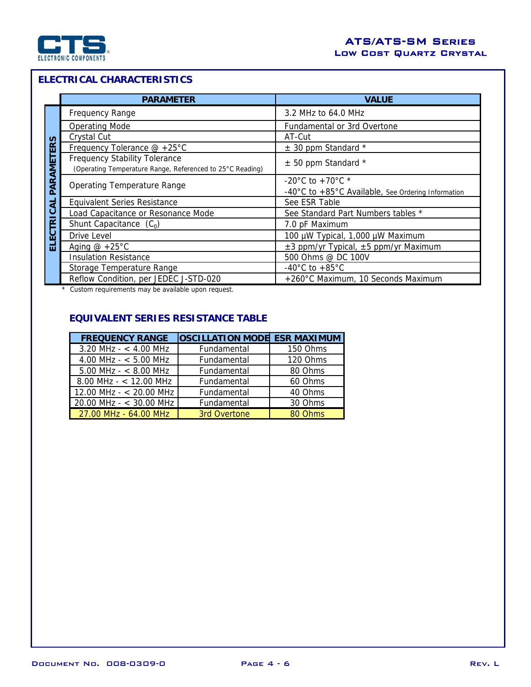

# **ELECTRICAL CHARACTERISTICS**

|                         | <b>PARAMETER</b>                                          | <b>VALUE</b>                                       |  |  |  |
|-------------------------|-----------------------------------------------------------|----------------------------------------------------|--|--|--|
|                         | <b>Frequency Range</b>                                    | 3.2 MHz to 64.0 MHz                                |  |  |  |
|                         | <b>Operating Mode</b>                                     | Fundamental or 3rd Overtone                        |  |  |  |
| <b>S</b>                | Crystal Cut                                               | AT-Cut                                             |  |  |  |
| ËË                      | Frequency Tolerance @ +25°C                               | $\pm$ 30 ppm Standard *                            |  |  |  |
| PARAMET                 | <b>Frequency Stability Tolerance</b>                      | $±$ 50 ppm Standard *                              |  |  |  |
|                         | (Operating Temperature Range, Referenced to 25°C Reading) |                                                    |  |  |  |
|                         | <b>Operating Temperature Range</b>                        | -20°C to +70°C $*$                                 |  |  |  |
|                         |                                                           | -40°C to +85°C Available, See Ordering Information |  |  |  |
| ಕ                       | <b>Equivalent Series Resistance</b>                       | See ESR Table                                      |  |  |  |
| ن                       | Load Capacitance or Resonance Mode                        | See Standard Part Numbers tables *                 |  |  |  |
| $\overline{\mathbf{r}}$ | Shunt Capacitance $(C_0)$                                 | 7.0 pF Maximum                                     |  |  |  |
| ပ<br>Ŵ                  | Drive Level                                               | 100 µW Typical, 1,000 µW Maximum                   |  |  |  |
| ᆸ                       | Aging $@ + 25°C$                                          | $\pm 3$ ppm/yr Typical, $\pm 5$ ppm/yr Maximum     |  |  |  |
|                         | <b>Insulation Resistance</b>                              | 500 Ohms @ DC 100V                                 |  |  |  |
|                         | Storage Temperature Range                                 | $-40^{\circ}$ C to $+85^{\circ}$ C                 |  |  |  |
|                         | Reflow Condition, per JEDEC J-STD-020                     | +260°C Maximum, 10 Seconds Maximum                 |  |  |  |

\* Custom requirements may be available upon request.

# **EQUIVALENT SERIES RESISTANCE TABLE**

| <b>FREQUENCY RANGE</b>    | <b>OSCILLATION MODE ESR MAXIMUM</b> |          |
|---------------------------|-------------------------------------|----------|
| $3.20$ MHz - $<$ 4.00 MHz | Fundamental                         | 150 Ohms |
| 4.00 MHz - $<$ 5.00 MHz   | Fundamental                         | 120 Ohms |
| $5.00$ MHz - $<$ 8.00 MHz | Fundamental                         | 80 Ohms  |
| $8.00$ MHz - < 12.00 MHz  | Fundamental                         | 60 Ohms  |
| 12.00 MHz - $<$ 20.00 MHz | Fundamental                         | 40 Ohms  |
| 20.00 MHz - $<$ 30.00 MHz | Fundamental                         | 30 Ohms  |
| 27.00 MHz - 64.00 MHz     | 3rd Overtone                        | 80 Ohms  |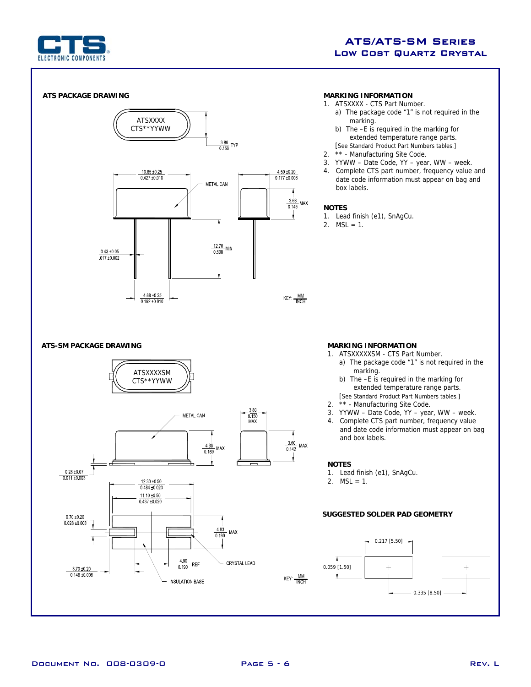

# ATS/ATS-SM Series Low Cost Quartz Crystal

### **ATS PACKAGE DRAWING**



#### **MARKING INFORMATION**

- 1. ATSXXXX CTS Part Number.
	- a) The package code "1" is not required in the marking.
	- b) The –E is required in the marking for extended temperature range parts. [See Standard Product Part Numbers tables.]
- 2. \*\* Manufacturing Site Code.
- 3. YYWW Date Code, YY year, WW week.
- 4. Complete CTS part number, frequency value and date code information must appear on bag and box labels.

#### **NOTES**

- 1. Lead finish (e1), SnAgCu.
- 2.  $MSL = 1$ .

#### **ATS-SM PACKAGE DRAWING MARKING INFORMATION**



- 1. ATSXXXXXSM CTS Part Number.
	- a) The package code "1" is not required in the marking.
		- b) The –E is required in the marking for extended temperature range parts.
	- [See Standard Product Part Numbers tables.]<br>2 \*\* Manufacturing Site Code \*\* - Manufacturing Site Code.
	- 3. YYWW Date Code, YY year, WW week.
	- 4. Complete CTS part number, frequency value and date code information must appear on bag and box labels.

#### **NOTES**

- 1. Lead finish (e1), SnAgCu.
- 2.  $MSL = 1$ .

## **SUGGESTED SOLDER PAD GEOMETRY**